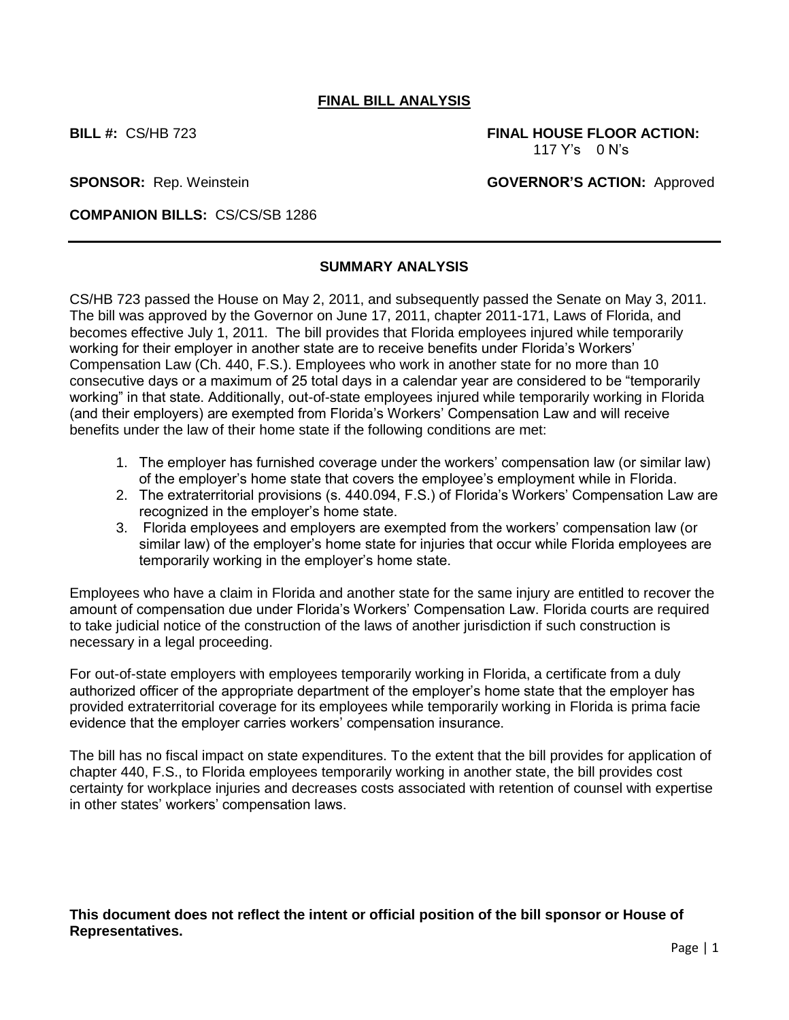## **FINAL BILL ANALYSIS**

**BILL #:** CS/HB 723 **FINAL HOUSE FLOOR ACTION:** 117 Y's0 N's

**SPONSOR:** Rep. Weinstein **GOVERNOR'S ACTION:** Approved

**COMPANION BILLS:** CS/CS/SB 1286

## **SUMMARY ANALYSIS**

CS/HB 723 passed the House on May 2, 2011, and subsequently passed the Senate on May 3, 2011. The bill was approved by the Governor on June 17, 2011, chapter 2011-171, Laws of Florida, and becomes effective July 1, 2011. The bill provides that Florida employees injured while temporarily working for their employer in another state are to receive benefits under Florida's Workers' Compensation Law (Ch. 440, F.S.). Employees who work in another state for no more than 10 consecutive days or a maximum of 25 total days in a calendar year are considered to be "temporarily working" in that state. Additionally, out-of-state employees injured while temporarily working in Florida (and their employers) are exempted from Florida's Workers' Compensation Law and will receive benefits under the law of their home state if the following conditions are met:

- 1. The employer has furnished coverage under the workers' compensation law (or similar law) of the employer's home state that covers the employee's employment while in Florida.
- 2. The extraterritorial provisions (s. 440.094, F.S.) of Florida's Workers' Compensation Law are recognized in the employer's home state.
- 3. Florida employees and employers are exempted from the workers' compensation law (or similar law) of the employer's home state for injuries that occur while Florida employees are temporarily working in the employer's home state.

Employees who have a claim in Florida and another state for the same injury are entitled to recover the amount of compensation due under Florida's Workers' Compensation Law. Florida courts are required to take judicial notice of the construction of the laws of another jurisdiction if such construction is necessary in a legal proceeding.

For out-of-state employers with employees temporarily working in Florida, a certificate from a duly authorized officer of the appropriate department of the employer's home state that the employer has provided extraterritorial coverage for its employees while temporarily working in Florida is prima facie evidence that the employer carries workers' compensation insurance.

The bill has no fiscal impact on state expenditures. To the extent that the bill provides for application of chapter 440, F.S., to Florida employees temporarily working in another state, the bill provides cost certainty for workplace injuries and decreases costs associated with retention of counsel with expertise in other states' workers' compensation laws.

**This document does not reflect the intent or official position of the bill sponsor or House of Representatives.**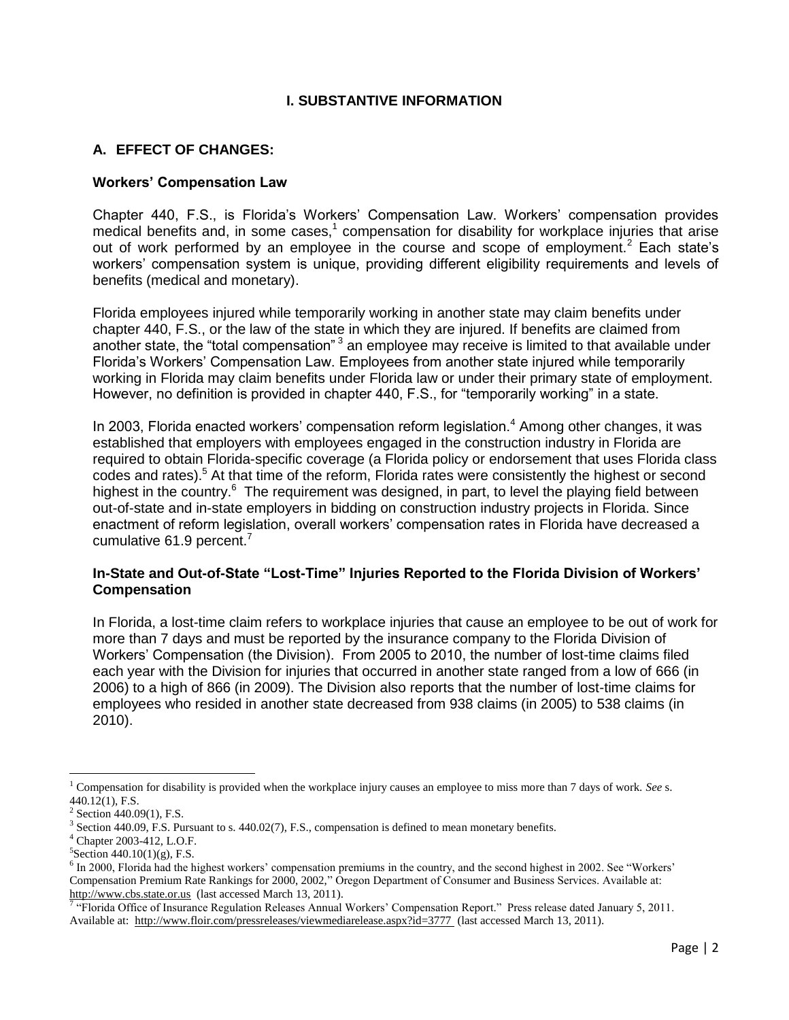### **I. SUBSTANTIVE INFORMATION**

## **A. EFFECT OF CHANGES:**

#### **Workers' Compensation Law**

Chapter 440, F.S., is Florida's Workers' Compensation Law. Workers' compensation provides medical benefits and, in some cases, $1$  compensation for disability for workplace injuries that arise out of work performed by an employee in the course and scope of employment.<sup>2</sup> Each state's workers' compensation system is unique, providing different eligibility requirements and levels of benefits (medical and monetary).

Florida employees injured while temporarily working in another state may claim benefits under chapter 440, F.S., or the law of the state in which they are injured. If benefits are claimed from another state, the "total compensation"<sup>3</sup> an employee may receive is limited to that available under Florida's Workers' Compensation Law. Employees from another state injured while temporarily working in Florida may claim benefits under Florida law or under their primary state of employment. However, no definition is provided in chapter 440, F.S., for "temporarily working" in a state.

In 2003. Florida enacted workers' compensation reform legislation.<sup>4</sup> Among other changes, it was established that employers with employees engaged in the construction industry in Florida are required to obtain Florida-specific coverage (a Florida policy or endorsement that uses Florida class codes and rates).<sup>5</sup> At that time of the reform, Florida rates were consistently the highest or second highest in the country.<sup>6</sup> The requirement was designed, in part, to level the playing field between out-of-state and in-state employers in bidding on construction industry projects in Florida. Since enactment of reform legislation, overall workers' compensation rates in Florida have decreased a cumulative 61.9 percent. $7$ 

### **In-State and Out-of-State "Lost-Time" Injuries Reported to the Florida Division of Workers' Compensation**

In Florida, a lost-time claim refers to workplace injuries that cause an employee to be out of work for more than 7 days and must be reported by the insurance company to the Florida Division of Workers' Compensation (the Division). From 2005 to 2010, the number of lost-time claims filed each year with the Division for injuries that occurred in another state ranged from a low of 666 (in 2006) to a high of 866 (in 2009). The Division also reports that the number of lost-time claims for employees who resided in another state decreased from 938 claims (in 2005) to 538 claims (in 2010).

 $\overline{\phantom{a}}$ 

<sup>1</sup> Compensation for disability is provided when the workplace injury causes an employee to miss more than 7 days of work. *See* s.  $440.12(1)$ , F.S.

 $2$  Section 440.09(1), F.S.

<sup>&</sup>lt;sup>3</sup> Section 440.09, F.S. Pursuant to s. 440.02(7), F.S., compensation is defined to mean monetary benefits.

<sup>4</sup> Chapter 2003-412, L.O.F.

 ${}^{5}$ Section 440.10(1)(g), F.S.

<sup>&</sup>lt;sup>6</sup> In 2000, Florida had the highest workers' compensation premiums in the country, and the second highest in 2002. See "Workers' Compensation Premium Rate Rankings for 2000, 2002," Oregon Department of Consumer and Business Services. Available at: [http://www.cbs.state.or.us](http://www.cbs.state.or.us/) (last accessed March 13, 2011).

<sup>&</sup>quot;Florida Office of Insurance Regulation Releases Annual Workers' Compensation Report." Press release dated January 5, 2011. Available at:<http://www.floir.com/pressreleases/viewmediarelease.aspx?id=3777> (last accessed March 13, 2011).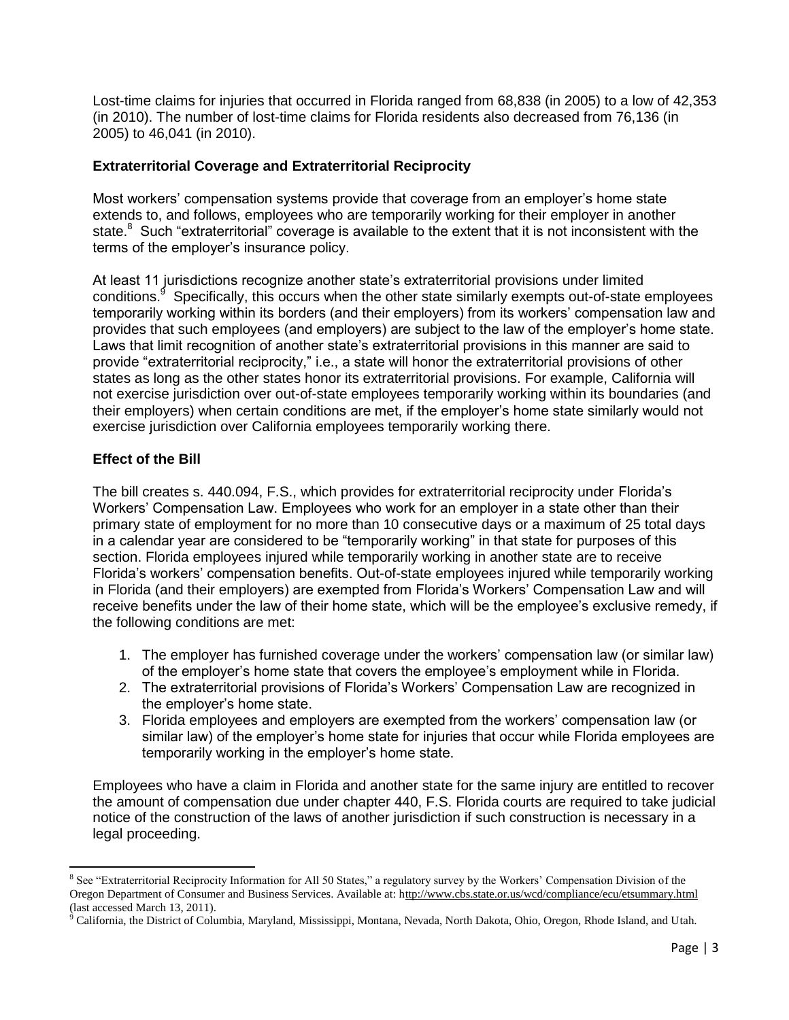Lost-time claims for injuries that occurred in Florida ranged from 68,838 (in 2005) to a low of 42,353 (in 2010). The number of lost-time claims for Florida residents also decreased from 76,136 (in 2005) to 46,041 (in 2010).

## **Extraterritorial Coverage and Extraterritorial Reciprocity**

Most workers' compensation systems provide that coverage from an employer's home state extends to, and follows, employees who are temporarily working for their employer in another state.<sup>8</sup> Such "extraterritorial" coverage is available to the extent that it is not inconsistent with the terms of the employer's insurance policy.

At least 11 jurisdictions recognize another state's extraterritorial provisions under limited conditions.<sup>9</sup> Specifically, this occurs when the other state similarly exempts out-of-state employees temporarily working within its borders (and their employers) from its workers' compensation law and provides that such employees (and employers) are subject to the law of the employer's home state. Laws that limit recognition of another state's extraterritorial provisions in this manner are said to provide "extraterritorial reciprocity," i.e., a state will honor the extraterritorial provisions of other states as long as the other states honor its extraterritorial provisions. For example, California will not exercise jurisdiction over out-of-state employees temporarily working within its boundaries (and their employers) when certain conditions are met, if the employer's home state similarly would not exercise jurisdiction over California employees temporarily working there.

# **Effect of the Bill**

 $\overline{\phantom{a}}$ 

The bill creates s. 440.094, F.S., which provides for extraterritorial reciprocity under Florida's Workers' Compensation Law. Employees who work for an employer in a state other than their primary state of employment for no more than 10 consecutive days or a maximum of 25 total days in a calendar year are considered to be "temporarily working" in that state for purposes of this section. Florida employees injured while temporarily working in another state are to receive Florida's workers' compensation benefits. Out-of-state employees injured while temporarily working in Florida (and their employers) are exempted from Florida's Workers' Compensation Law and will receive benefits under the law of their home state, which will be the employee's exclusive remedy, if the following conditions are met:

- 1. The employer has furnished coverage under the workers' compensation law (or similar law) of the employer's home state that covers the employee's employment while in Florida.
- 2. The extraterritorial provisions of Florida's Workers' Compensation Law are recognized in the employer's home state.
- 3. Florida employees and employers are exempted from the workers' compensation law (or similar law) of the employer's home state for injuries that occur while Florida employees are temporarily working in the employer's home state.

Employees who have a claim in Florida and another state for the same injury are entitled to recover the amount of compensation due under chapter 440, F.S. Florida courts are required to take judicial notice of the construction of the laws of another jurisdiction if such construction is necessary in a legal proceeding.

<sup>&</sup>lt;sup>8</sup> See "Extraterritorial Reciprocity Information for All 50 States," a regulatory survey by the Workers' Compensation Division of the Oregon Department of Consumer and Business Services. Available at: http://www.cbs.state.or.us/wcd/compliance/ecu/etsummary.html (last accessed March 13, 2011).

<sup>&</sup>lt;sup>9</sup> California, the District of Columbia, Maryland, Mississippi, Montana, Nevada, North Dakota, Ohio, Oregon, Rhode Island, and Utah.